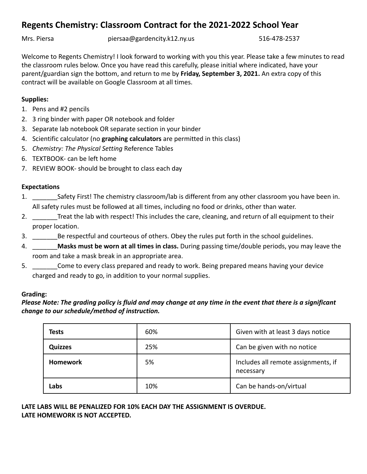# **Regents Chemistry: Classroom Contract for the 2021-2022 School Year**

Mrs. Piersa **piersaa@gardencity.k12.ny.us** 516-478-2537

Welcome to Regents Chemistry! I look forward to working with you this year. Please take a few minutes to read the classroom rules below. Once you have read this carefully, please initial where indicated, have your parent/guardian sign the bottom, and return to me by **Friday, September 3, 2021.** An extra copy of this contract will be available on Google Classroom at all times.

## **Supplies:**

- 1. Pens and #2 pencils
- 2. 3 ring binder with paper OR notebook and folder
- 3. Separate lab notebook OR separate section in your binder
- 4. Scientific calculator (no **graphing calculators** are permitted in this class)
- 5. *Chemistry: The Physical Setting* Reference Tables
- 6. TEXTBOOK- can be left home
- 7. REVIEW BOOK- should be brought to class each day

## **Expectations**

- 1. \_\_\_\_\_\_\_Safety First! The chemistry classroom/lab is different from any other classroom you have been in. All safety rules must be followed at all times, including no food or drinks, other than water.
- 2. \_\_\_\_\_\_\_Treat the lab with respect! This includes the care, cleaning, and return of all equipment to their proper location.
- 3. Expect Be respectful and courteous of others. Obey the rules put forth in the school guidelines.
- 4. \_\_\_\_\_\_\_**Masks must be worn at all times in class.** During passing time/double periods, you may leave the room and take a mask break in an appropriate area.
- 5. \_\_\_\_\_\_\_Come to every class prepared and ready to work. Being prepared means having your device charged and ready to go, in addition to your normal supplies.

## **Grading:**

## *Please Note: The grading policy is fluid and may change at any time in the event that there is a significant change to our schedule/method of instruction.*

| <b>Tests</b>    | 60% | Given with at least 3 days notice                |
|-----------------|-----|--------------------------------------------------|
| <b>Quizzes</b>  | 25% | Can be given with no notice                      |
| <b>Homework</b> | 5%  | Includes all remote assignments, if<br>necessary |
| Labs            | 10% | Can be hands-on/virtual                          |

## **LATE LABS WILL BE PENALIZED FOR 10% EACH DAY THE ASSIGNMENT IS OVERDUE. LATE HOMEWORK IS NOT ACCEPTED.**